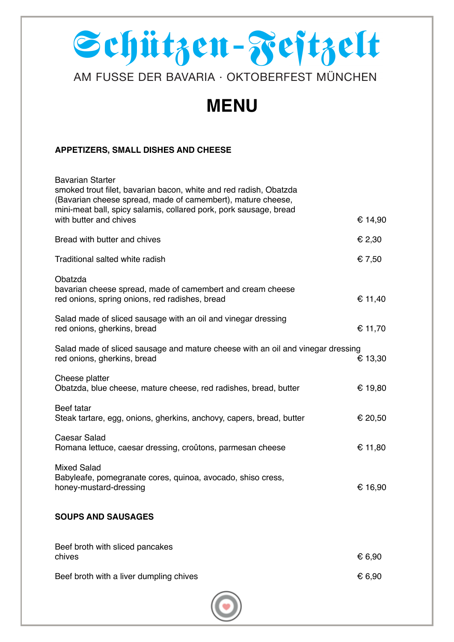# Schützen-Festzelt

## AM FUSSE DER BAVARIA · OKTOBERFEST MÜNCHEN

## **MENU**

#### **APPETIZERS, SMALL DISHES AND CHEESE**

| <b>Bavarian Starter</b><br>smoked trout filet, bavarian bacon, white and red radish, Obatzda<br>(Bavarian cheese spread, made of camembert), mature cheese, |         |
|-------------------------------------------------------------------------------------------------------------------------------------------------------------|---------|
| mini-meat ball, spicy salamis, collared pork, pork sausage, bread<br>with butter and chives                                                                 | € 14,90 |
| Bread with butter and chives                                                                                                                                | € 2,30  |
| Traditional salted white radish                                                                                                                             | € 7,50  |
| Obatzda<br>bavarian cheese spread, made of camembert and cream cheese<br>red onions, spring onions, red radishes, bread                                     | € 11,40 |
| Salad made of sliced sausage with an oil and vinegar dressing<br>red onions, gherkins, bread                                                                | € 11,70 |
| Salad made of sliced sausage and mature cheese with an oil and vinegar dressing<br>red onions, gherkins, bread                                              | € 13,30 |
| Cheese platter<br>Obatzda, blue cheese, mature cheese, red radishes, bread, butter                                                                          | € 19,80 |
| Beef tatar<br>Steak tartare, egg, onions, gherkins, anchovy, capers, bread, butter                                                                          | € 20,50 |
| <b>Caesar Salad</b><br>Romana lettuce, caesar dressing, croûtons, parmesan cheese                                                                           | € 11,80 |
| <b>Mixed Salad</b><br>Babyleafe, pomegranate cores, quinoa, avocado, shiso cress,<br>honey-mustard-dressing                                                 | € 16,90 |
| <b>SOUPS AND SAUSAGES</b>                                                                                                                                   |         |
| Beef broth with sliced pancakes<br>chives                                                                                                                   | € 6,90  |
| Beef broth with a liver dumpling chives                                                                                                                     | € 6,90  |
|                                                                                                                                                             |         |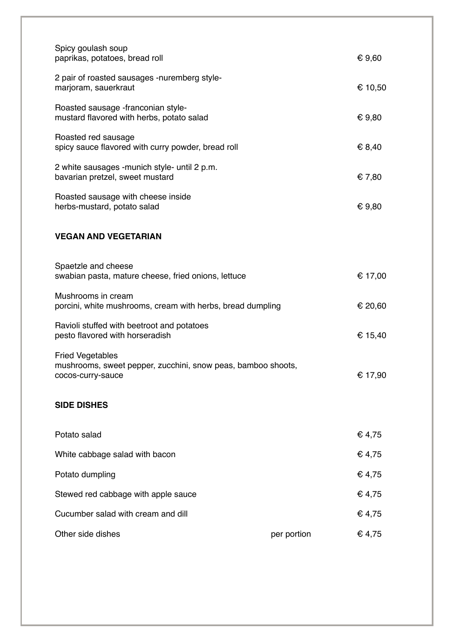| Spicy goulash soup<br>paprikas, potatoes, bread roll                                                         |             | € 9,60  |
|--------------------------------------------------------------------------------------------------------------|-------------|---------|
| 2 pair of roasted sausages -nuremberg style-<br>marjoram, sauerkraut                                         |             | € 10,50 |
| Roasted sausage -franconian style-<br>mustard flavored with herbs, potato salad                              |             | € 9,80  |
| Roasted red sausage<br>spicy sauce flavored with curry powder, bread roll                                    |             | € 8,40  |
| 2 white sausages -munich style- until 2 p.m.<br>bavarian pretzel, sweet mustard                              |             | € 7,80  |
| Roasted sausage with cheese inside<br>herbs-mustard, potato salad                                            |             | € 9,80  |
| <b>VEGAN AND VEGETARIAN</b>                                                                                  |             |         |
| Spaetzle and cheese<br>swabian pasta, mature cheese, fried onions, lettuce                                   |             | € 17,00 |
| Mushrooms in cream<br>porcini, white mushrooms, cream with herbs, bread dumpling                             |             | € 20,60 |
| Ravioli stuffed with beetroot and potatoes<br>pesto flavored with horseradish                                |             | € 15,40 |
| <b>Fried Vegetables</b><br>mushrooms, sweet pepper, zucchini, snow peas, bamboo shoots,<br>cocos-curry-sauce |             | € 17,90 |
| <b>SIDE DISHES</b>                                                                                           |             |         |
| Potato salad                                                                                                 |             | € 4,75  |
| White cabbage salad with bacon                                                                               |             | € 4,75  |
| Potato dumpling                                                                                              |             | € 4,75  |
| Stewed red cabbage with apple sauce                                                                          |             | € 4,75  |
| Cucumber salad with cream and dill                                                                           |             | € 4,75  |
| Other side dishes                                                                                            | per portion | € 4,75  |
|                                                                                                              |             |         |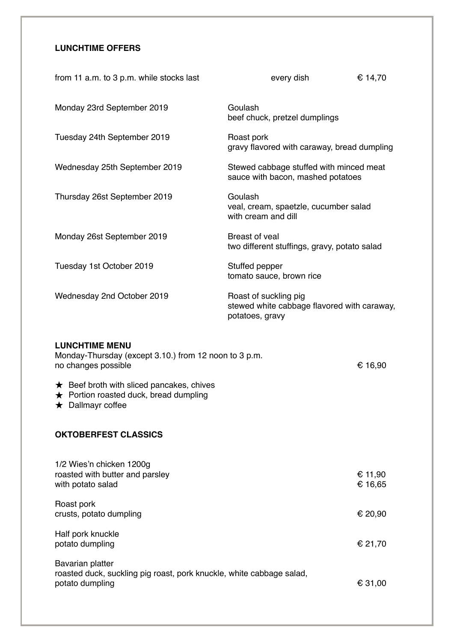### **LUNCHTIME OFFERS**

| from 11 a.m. to 3 p.m. while stocks last | every dish                                                                              | € 14,70 |
|------------------------------------------|-----------------------------------------------------------------------------------------|---------|
| Monday 23rd September 2019               | Goulash<br>beef chuck, pretzel dumplings                                                |         |
| Tuesday 24th September 2019              | Roast pork<br>gravy flavored with caraway, bread dumpling                               |         |
| Wednesday 25th September 2019            | Stewed cabbage stuffed with minced meat<br>sauce with bacon, mashed potatoes            |         |
| Thursday 26st September 2019             | Goulash<br>veal, cream, spaetzle, cucumber salad<br>with cream and dill                 |         |
| Monday 26st September 2019               | Breast of yeal<br>two different stuffings, gravy, potato salad                          |         |
| Tuesday 1st October 2019                 | Stuffed pepper<br>tomato sauce, brown rice                                              |         |
| Wednesday 2nd October 2019               | Roast of suckling pig<br>stewed white cabbage flavored with caraway,<br>potatoes, gravy |         |
| <b>LUNCHTIME MENU</b>                    |                                                                                         |         |

| Monday-Thursday (except 3.10.) from 12 noon to 3 p.m.<br>no changes possible                                               | € 16,90            |
|----------------------------------------------------------------------------------------------------------------------------|--------------------|
| $\star$ Beef broth with sliced pancakes, chives<br>$\star$ Portion roasted duck, bread dumpling<br>$\star$ Dallmayr coffee |                    |
| <b>OKTOBERFEST CLASSICS</b>                                                                                                |                    |
| 1/2 Wies'n chicken 1200g<br>roasted with butter and parsley<br>with potato salad                                           | € 11,90<br>€ 16,65 |
| Roast pork<br>crusts, potato dumpling                                                                                      | € 20,90            |
| Half pork knuckle<br>potato dumpling                                                                                       | € 21,70            |
| Bavarian platter<br>roasted duck, suckling pig roast, pork knuckle, white cabbage salad,<br>potato dumpling                | € 31,00            |